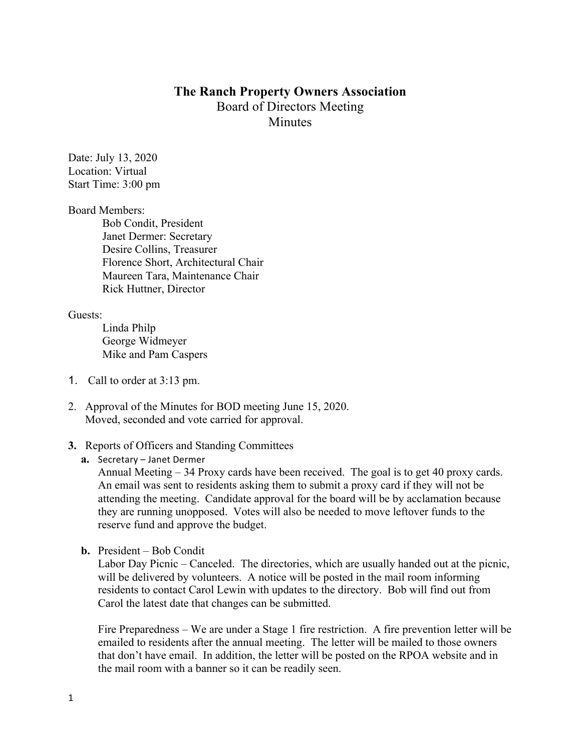## **The Ranch Property Owners Association** Board of Directors Meeting **Minutes**

Date: July 13, 2020 Location: Virtual Start Time: 3:00 pm

Board Members:

Bob Condit, President Janet Dermer: Secretary Desire Collins, Treasurer Florence Short, Architectural Chair Maureen Tara, Maintenance Chair Rick Huttner, Director

Guests:

Linda Philp George Widmeyer Mike and Pam Caspers

- 1. Call to order at 3:13 pm.
- 2. Approval of the Minutes for BOD meeting June 15, 2020. Moved, seconded and vote carried for approval.

## **3.** Reports of Officers and Standing Committees

**a.** Secretary – Janet Dermer

Annual Meeting – 34 Proxy cards have been received. The goal is to get 40 proxy cards. An email was sent to residents asking them to submit a proxy card if they will not be attending the meeting. Candidate approval for the board will be by acclamation because they are running unopposed. Votes will also be needed to move leftover funds to the reserve fund and approve the budget.

**b.** President – Bob Condit

Labor Day Picnic – Canceled. The directories, which are usually handed out at the picnic, will be delivered by volunteers. A notice will be posted in the mail room informing residents to contact Carol Lewin with updates to the directory. Bob will find out from Carol the latest date that changes can be submitted.

Fire Preparedness – We are under a Stage 1 fire restriction. A fire prevention letter will be emailed to residents after the annual meeting. The letter will be mailed to those owners that don't have email. In addition, the letter will be posted on the RPOA website and in the mail room with a banner so it can be readily seen.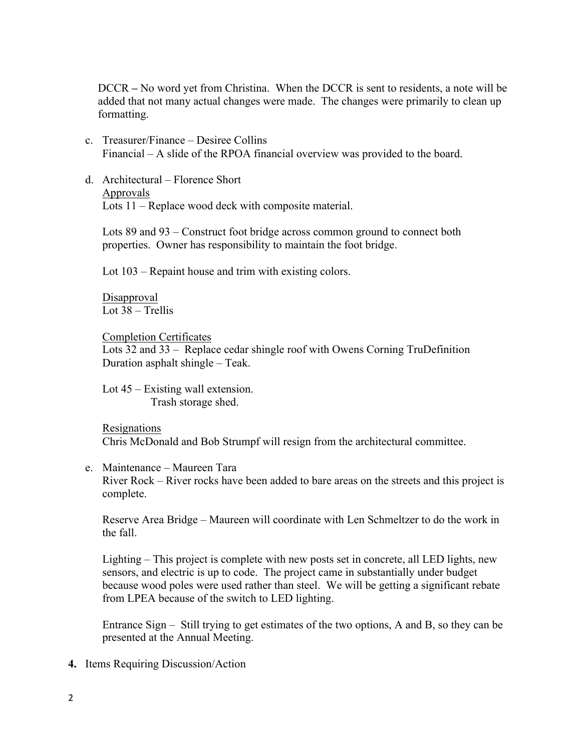DCCR **–** No word yet from Christina. When the DCCR is sent to residents, a note will be added that not many actual changes were made. The changes were primarily to clean up formatting.

- c. Treasurer/Finance Desiree Collins Financial – A slide of the RPOA financial overview was provided to the board.
- d. Architectural Florence Short
	- Approvals

Lots 11 – Replace wood deck with composite material.

Lots 89 and 93 – Construct foot bridge across common ground to connect both properties. Owner has responsibility to maintain the foot bridge.

Lot 103 – Repaint house and trim with existing colors.

Disapproval Lot 38 – Trellis

Completion Certificates Lots 32 and 33 – Replace cedar shingle roof with Owens Corning TruDefinition Duration asphalt shingle – Teak.

Lot 45 – Existing wall extension. Trash storage shed.

Resignations Chris McDonald and Bob Strumpf will resign from the architectural committee.

e. Maintenance – Maureen Tara

River Rock – River rocks have been added to bare areas on the streets and this project is complete.

Reserve Area Bridge – Maureen will coordinate with Len Schmeltzer to do the work in the fall.

Lighting – This project is complete with new posts set in concrete, all LED lights, new sensors, and electric is up to code. The project came in substantially under budget because wood poles were used rather than steel. We will be getting a significant rebate from LPEA because of the switch to LED lighting.

Entrance Sign – Still trying to get estimates of the two options, A and B, so they can be presented at the Annual Meeting.

**4.** Items Requiring Discussion/Action